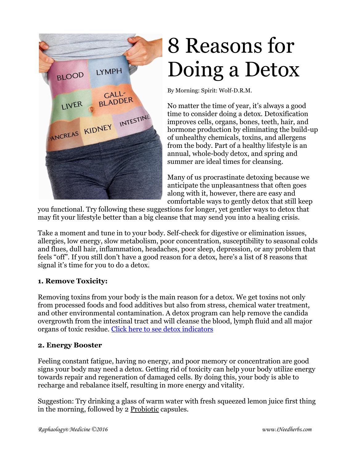

# 8 Reasons for Doing a Detox

By Morning: Spirit: Wolf-D.R.M.

No matter the time of year, it's always a good time to consider doing a detox. Detoxification improves cells, organs, bones, teeth, hair, and hormone production by eliminating the build-up of unhealthy chemicals, toxins, and allergens from the body. Part of a healthy lifestyle is an annual, whole-body detox, and spring and summer are ideal times for cleansing.

Many of us procrastinate detoxing because we anticipate the unpleasantness that often goes along with it, however, there are easy and comfortable ways to gently detox that still keep

you functional. Try following these suggestions for longer, yet gentler ways to detox that may fit your lifestyle better than a big cleanse that may send you into a healing crisis.

Take a moment and tune in to your body. Self-check for digestive or elimination issues, allergies, low energy, slow metabolism, poor concentration, susceptibility to seasonal colds and flues, dull hair, inflammation, headaches, poor sleep, depression, or any problem that feels "off". If you still don't have a good reason for a detox, here's a list of [8 reasons that](http://www.luckyvitamin.com/c-21-detoxification-cleansing)  signal it's time for [you to do a detox.](http://www.luckyvitamin.com/c-21-detoxification-cleansing)

## **1. Remove Toxicity:**

Removing toxins from your body is the main reason for a detox. We get toxins not only from processed foods and food additives but also from stress, chemical water treatment, and other environmental contamination. A [detox program](http://www.luckyvitamin.com/c-29-general-cleansing-detoxing) can help remove the candida overgrowth from the intestinal tract and will cleanse the blood, lymph fluid and all major organs of toxic residue. [Click here to see detox indicators](http://peakfrequencyhealth.com/living/therapies-detoxes-and-flushes/)

#### **2. Energy Booster**

Feeling constant fatigue, having no energy, and poor memory or concentration are good signs your body may need a detox. [Getting rid of toxicity](http://www.luckyvitamin.com/c-28-fast-detox-cleanse-flush) can help your body utilize energy towards repair and regeneration of damaged cells. By doing this, your body is able to recharge and rebalance itself, resulting in more energy and vitality.

Suggestion: Try drinking a glass of warm water with fresh squeezed lemon juice first thing in the morning, followed by 2 Probiotic capsules.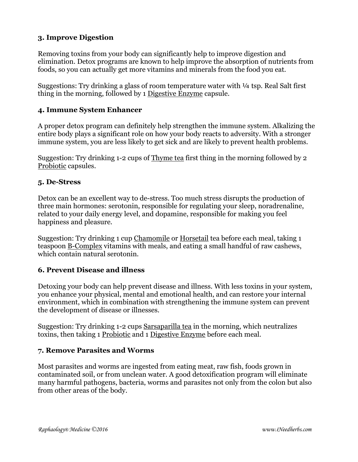## **3. Improve Digestion**

Removing toxins from your body can significantly help to improve digestion and elimination. Detox programs are known to help improve the absorption of nutrients from foods, so you can actually get more vitamins and minerals from the food you eat.

Suggestions: Try drinking a glass of room temperature water with  $\frac{1}{4}$  tsp. Real Salt first thing in the morning, followed by 1 Digestive Enzyme capsule.

#### **4. Immune System Enhancer**

A proper detox program can definitely help strengthen the immune system. Alkalizing the entire body plays a significant role on how your body reacts to adversity. With a stronger immune system, you are less likely to get sick and are likely to prevent health problems.

Suggestion: Try drinking 1-2 cups of Thyme tea first thing in the morning followed by 2 [Probiotic](https://ineedherbs.com/probiotics-digestive-and-cellular-health-60-vegetarian-capsules.html) capsules.

#### **5. De-Stress**

[Detox can be an excellent way to de-stress.](http://www.luckyvitamin.com/c-28-fast-detox-cleanse-flush) Too much stress disrupts the production of three main hormones: serotonin, responsible for regulating your sleep, noradrenaline, related to your daily energy level, and dopamine, responsible for making you feel happiness and pleasure.

Suggestion: Try drinking 1 cup Chamomile or Horsetail tea before each meal, taking 1 teaspoon B-Complex vitamins with meals, and eating a small handful of raw cashews, which contain natural serotonin.

#### **6. Prevent Disease and illness**

Detoxing your body can help prevent disease and illness. With less toxins in your system, you enhance your physical, mental and emotional health, and can restore your internal environment, which in combination with strengthening the immune system can prevent the development of disease or illnesses.

Suggestion: Try drinking 1-2 cups Sarsaparilla tea in the morning, which neutralizes toxins, then taking 1 Probiotic and 1 Digestive Enzyme before each meal.

#### **7. Remove Parasites and Worms**

Most parasites and worms are ingested from eating meat, raw fish, foods grown in contaminated soil, or from unclean water. A good [detoxification program](http://www.luckyvitamin.com/c-29-general-cleansing-detoxing) will eliminate many harmful pathogens, bacteria, worms and parasites not only from the colon but also from other areas of the body.